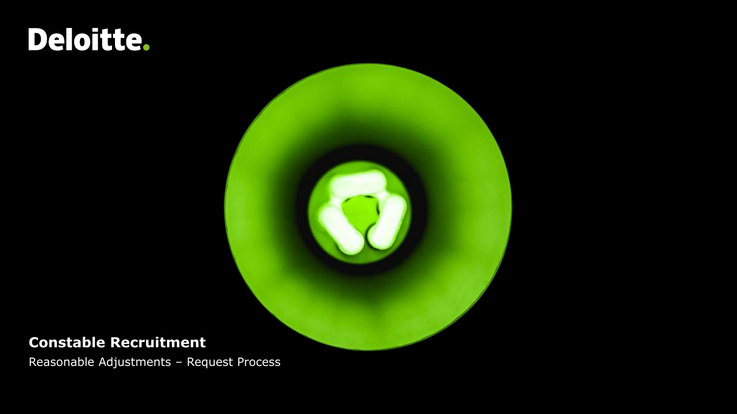### **Constable Recruitment**

Reasonable Adjustments – Request Process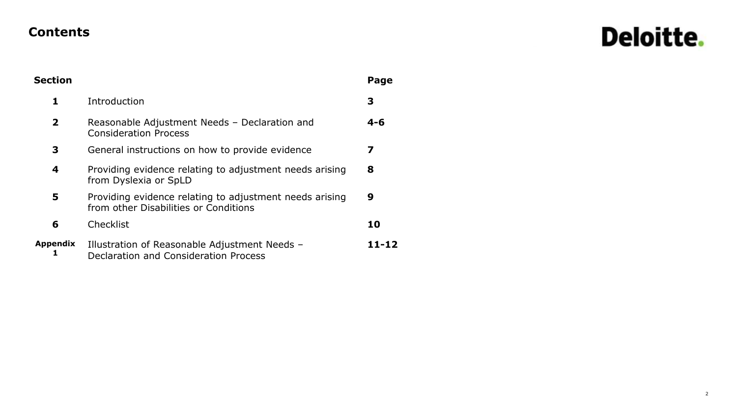#### **Contents**

## Deloitte.

| <b>Section</b>  |                                                                                                  | Page    |
|-----------------|--------------------------------------------------------------------------------------------------|---------|
| 1               | Introduction                                                                                     | 3       |
| $\overline{2}$  | Reasonable Adjustment Needs - Declaration and<br><b>Consideration Process</b>                    | $4 - 6$ |
| 3               | General instructions on how to provide evidence                                                  | 7       |
| 4               | Providing evidence relating to adjustment needs arising<br>from Dyslexia or SpLD                 | 8       |
| 5               | Providing evidence relating to adjustment needs arising<br>from other Disabilities or Conditions | 9       |
| 6               | Checklist                                                                                        | 10      |
| <b>Appendix</b> | Illustration of Reasonable Adjustment Needs -<br>Declaration and Consideration Process           | 11-12   |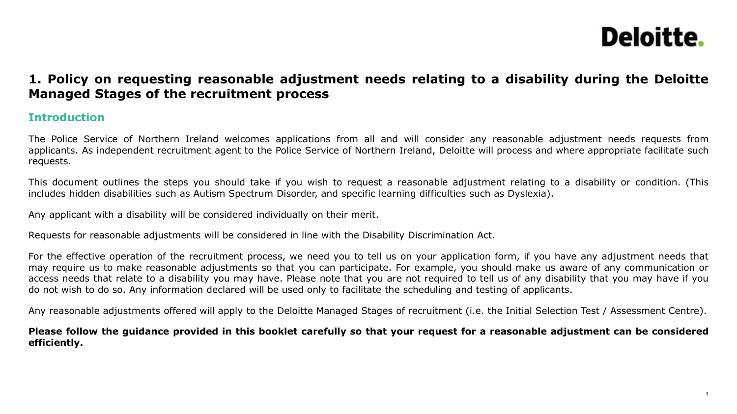#### **1. Policy on requesting reasonable adjustment needs relating to a disability during the Deloitte Managed Stages of the recruitment process**

#### **Introduction**

The Police Service of Northern Ireland welcomes applications from all and will consider any reasonable adjustment needs requests from applicants. As independent recruitment agent to the Police Service of Northern Ireland, Deloitte will process and where appropriate facilitate such requests.

This document outlines the steps you should take if you wish to request a reasonable adjustment relating to a disability or condition. (This includes hidden disabilities such as Autism Spectrum Disorder, and specific learning difficulties such as Dyslexia).

Any applicant with a disability will be considered individually on their merit.

Requests for reasonable adjustments will be considered in line with the Disability Discrimination Act.

For the effective operation of the recruitment process, we need you to tell us on your application form, if you have any adjustment needs that may require us to make reasonable adjustments so that you can participate. For example, you should make us aware of any communication or access needs that relate to a disability you may have. Please note that you are not required to tell us of any disability that you may have if you do not wish to do so. Any information declared will be used only to facilitate the scheduling and testing of applicants.

Any reasonable adjustments offered will apply to the Deloitte Managed Stages of recruitment (i.e. the Initial Selection Test / Assessment Centre).

Please follow the guidance provided in this booklet carefully so that your request for a reasonable adjustment can be considered **efficiently.**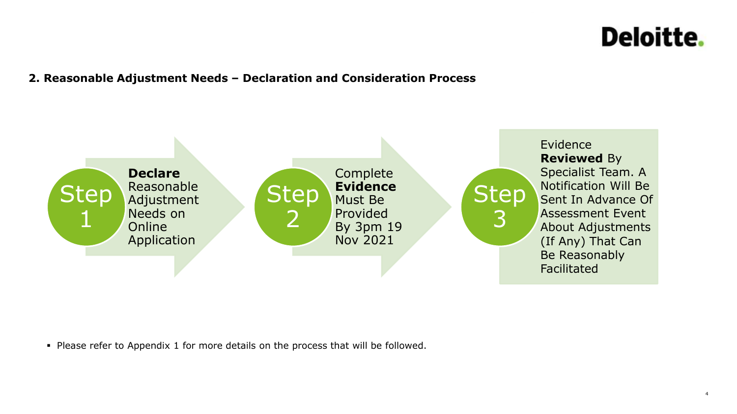#### **2. Reasonable Adjustment Needs – Declaration and Consideration Process**



▪ Please refer to Appendix 1 for more details on the process that will be followed.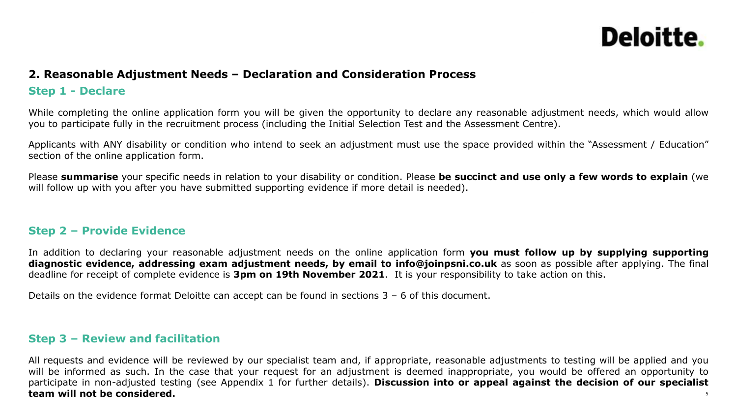#### **2. Reasonable Adjustment Needs – Declaration and Consideration Process**

#### **Step 1 - Declare**

While completing the online application form you will be given the opportunity to declare any reasonable adjustment needs, which would allow you to participate fully in the recruitment process (including the Initial Selection Test and the Assessment Centre).

Applicants with ANY disability or condition who intend to seek an adjustment must use the space provided within the "Assessment / Education" section of the online application form.

Please **summarise** your specific needs in relation to your disability or condition. Please **be succinct and use only a few words to explain** (we will follow up with you after you have submitted supporting evidence if more detail is needed).

#### **Step 2 – Provide Evidence**

In addition to declaring your reasonable adjustment needs on the online application form **you must follow up by supplying supporting diagnostic evidence, addressing exam adjustment needs, by email to info@joinpsni.co.uk** as soon as possible after applying. The final deadline for receipt of complete evidence is **3pm on 19th November 2021**. It is your responsibility to take action on this.

Details on the evidence format Deloitte can accept can be found in sections 3 – 6 of this document.

#### **Step 3 – Review and facilitation**

5 All requests and evidence will be reviewed by our specialist team and, if appropriate, reasonable adjustments to testing will be applied and you will be informed as such. In the case that your request for an adjustment is deemed inappropriate, you would be offered an opportunity to participate in non-adjusted testing (see Appendix 1 for further details). **Discussion into or appeal against the decision of our specialist team will not be considered.**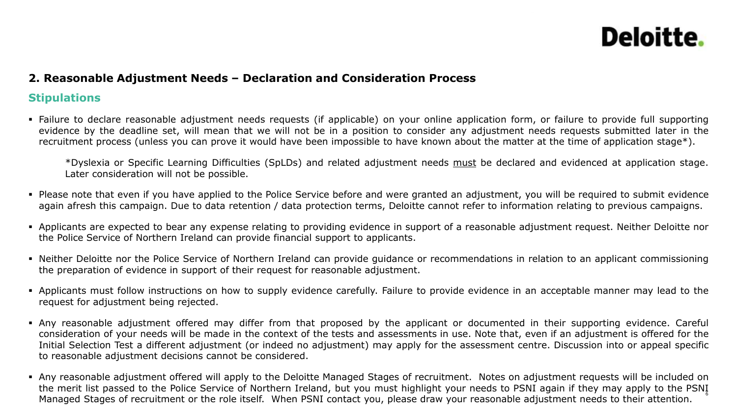#### **2. Reasonable Adjustment Needs – Declaration and Consideration Process**

#### **Stipulations**

• Failure to declare reasonable adjustment needs requests (if applicable) on your online application form, or failure to provide full supporting evidence by the deadline set, will mean that we will not be in a position to consider any adjustment needs requests submitted later in the recruitment process (unless you can prove it would have been impossible to have known about the matter at the time of application stage\*).

\*Dyslexia or Specific Learning Difficulties (SpLDs) and related adjustment needs must be declared and evidenced at application stage. Later consideration will not be possible.

- Please note that even if you have applied to the Police Service before and were granted an adjustment, you will be required to submit evidence again afresh this campaign. Due to data retention / data protection terms, Deloitte cannot refer to information relating to previous campaigns.
- Applicants are expected to bear any expense relating to providing evidence in support of a reasonable adjustment request. Neither Deloitte nor the Police Service of Northern Ireland can provide financial support to applicants.
- Neither Deloitte nor the Police Service of Northern Ireland can provide guidance or recommendations in relation to an applicant commissioning the preparation of evidence in support of their request for reasonable adjustment.
- Applicants must follow instructions on how to supply evidence carefully. Failure to provide evidence in an acceptable manner may lead to the request for adjustment being rejected.
- Any reasonable adjustment offered may differ from that proposed by the applicant or documented in their supporting evidence. Careful consideration of your needs will be made in the context of the tests and assessments in use. Note that, even if an adjustment is offered for the Initial Selection Test a different adjustment (or indeed no adjustment) may apply for the assessment centre. Discussion into or appeal specific to reasonable adjustment decisions cannot be considered.
- 6 • Any reasonable adjustment offered will apply to the Deloitte Managed Stages of recruitment. Notes on adjustment requests will be included on the merit list passed to the Police Service of Northern Ireland, but you must highlight your needs to PSNI again if they may apply to the PSNI Managed Stages of recruitment or the role itself. When PSNI contact you, please draw your reasonable adjustment needs to their attention.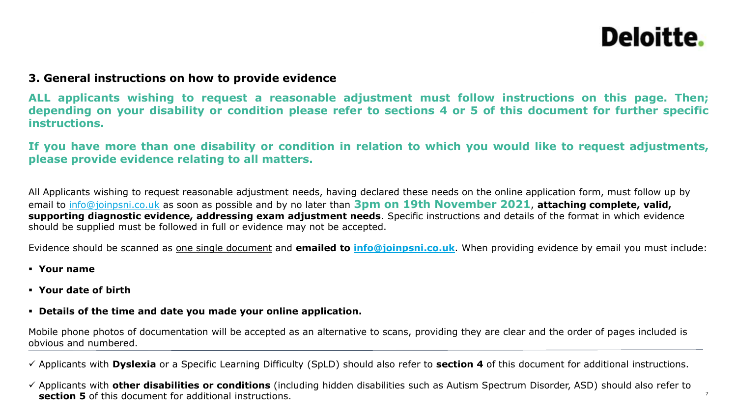7

#### **3. General instructions on how to provide evidence**

**ALL applicants wishing to request a reasonable adjustment must follow instructions on this page. Then;** depending on your disability or condition please refer to sections 4 or 5 of this document for further specific **instructions.**

If you have more than one disability or condition in relation to which you would like to request adjustments, **please provide evidence relating to all matters.**

All Applicants wishing to request reasonable adjustment needs, having declared these needs on the online application form, must follow up by email to [info@joinpsni.co.uk](mailto:info@joinpsni.co.uk) as soon as possible and by no later than **3pm on 19th November 2021**, **attaching complete, valid, supporting diagnostic evidence, addressing exam adjustment needs**. Specific instructions and details of the format in which evidence should be supplied must be followed in full or evidence may not be accepted.

Evidence should be scanned as one single document and **emailed to [info@joinpsni.co.uk](mailto:info@joinpsni.co.uk)**. When providing evidence by email you must include:

- **Your name**
- **Your date of birth**
- **Details of the time and date you made your online application.**

Mobile phone photos of documentation will be accepted as an alternative to scans, providing they are clear and the order of pages included is obvious and numbered.

✓ Applicants with **Dyslexia** or a Specific Learning Difficulty (SpLD) should also refer to **section 4** of this document for additional instructions.

✓ Applicants with **other disabilities or conditions** (including hidden disabilities such as Autism Spectrum Disorder, ASD) should also refer to **section 5** of this document for additional instructions.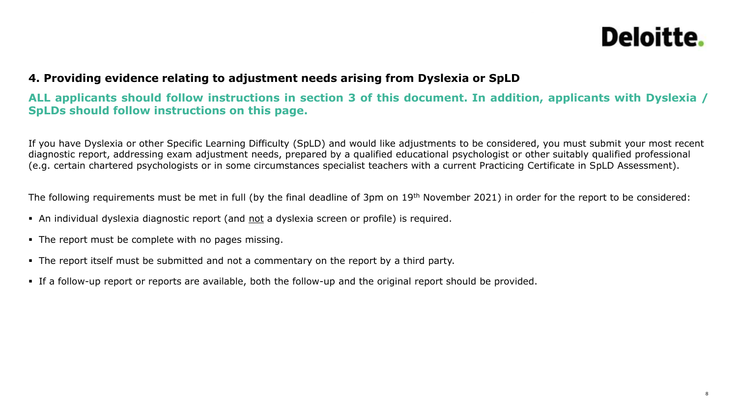#### **4. Providing evidence relating to adjustment needs arising from Dyslexia or SpLD**

#### ALL applicants should follow instructions in section 3 of this document. In addition, applicants with Dyslexia / **SpLDs should follow instructions on this page.**

If you have Dyslexia or other Specific Learning Difficulty (SpLD) and would like adjustments to be considered, you must submit your most recent diagnostic report, addressing exam adjustment needs, prepared by a qualified educational psychologist or other suitably qualified professional (e.g. certain chartered psychologists or in some circumstances specialist teachers with a current Practicing Certificate in SpLD Assessment).

The following requirements must be met in full (by the final deadline of 3pm on 19<sup>th</sup> November 2021) in order for the report to be considered:

- An individual dyslexia diagnostic report (and not a dyslexia screen or profile) is required.
- The report must be complete with no pages missing.
- The report itself must be submitted and not a commentary on the report by a third party.
- If a follow-up report or reports are available, both the follow-up and the original report should be provided.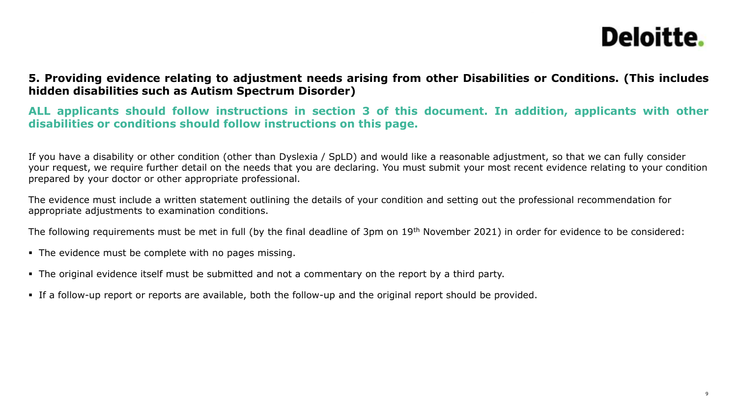#### **5. Providing evidence relating to adjustment needs arising from other Disabilities or Conditions. (This includes hidden disabilities such as Autism Spectrum Disorder)**

**ALL applicants should follow instructions in section 3 of this document. In addition, applicants with other disabilities or conditions should follow instructions on this page.**

If you have a disability or other condition (other than Dyslexia / SpLD) and would like a reasonable adjustment, so that we can fully consider your request, we require further detail on the needs that you are declaring. You must submit your most recent evidence relating to your condition prepared by your doctor or other appropriate professional.

The evidence must include a written statement outlining the details of your condition and setting out the professional recommendation for appropriate adjustments to examination conditions.

The following requirements must be met in full (by the final deadline of 3pm on 19th November 2021) in order for evidence to be considered:

- The evidence must be complete with no pages missing.
- The original evidence itself must be submitted and not a commentary on the report by a third party.
- If a follow-up report or reports are available, both the follow-up and the original report should be provided.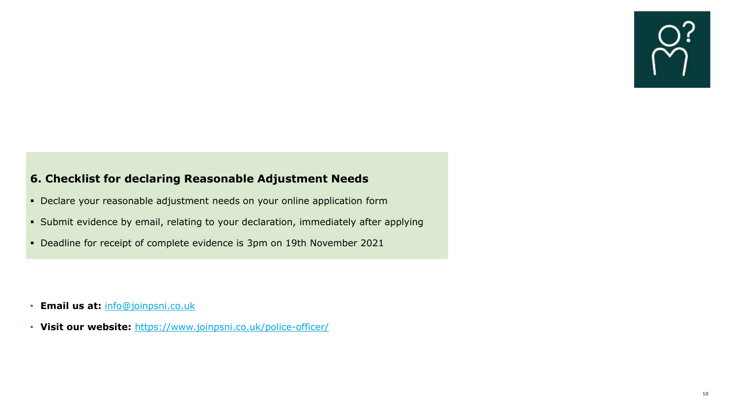#### **6. Checklist for declaring Reasonable Adjustment Needs**

- Declare your reasonable adjustment needs on your online application form
- Submit evidence by email, relating to your declaration, immediately after applying
- Deadline for receipt of complete evidence is 3pm on 19th November 2021

- **Email us at:** [info@joinpsni.co.uk](mailto:info@joinpsni.co.uk)
- **Visit our website:** <https://www.joinpsni.co.uk/police-officer/>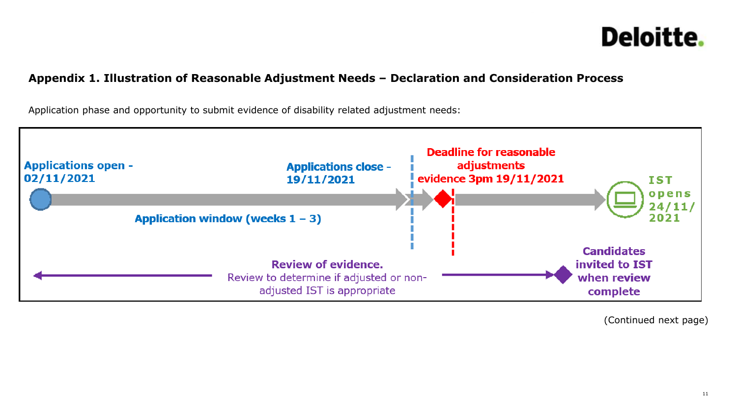#### **Appendix 1. Illustration of Reasonable Adjustment Needs – Declaration and Consideration Process**

Application phase and opportunity to submit evidence of disability related adjustment needs:



(Continued next page)